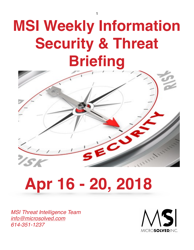# **MSI Weekly Information Security & Threat Briefing**



# **Apr 16 - 20, 2018**

*MSI Threat Intelligence Team [info@microsolved.com](mailto:info@microsolved.com) 614-351-1237*



1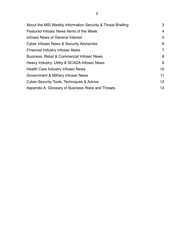| About the MSI Weekly Information Security & Threat Briefing | 3               |
|-------------------------------------------------------------|-----------------|
| Featured Infosec News Items of the Week                     | 4               |
| Infosec News of General Interest                            | 5               |
| Cyber Infosec News & Security Advisories                    | 6               |
| <b>Financial Industry Infosec News</b>                      | 7               |
| <b>Business, Retail &amp; Commercial Infosec News</b>       | 8               |
| Heavy Industry, Utility & SCADA Infosec News                | 9               |
| <b>Health Care Industry Infosec News</b>                    | 10              |
| Government & Military Infosec News                          | 11              |
| Cyber-Security Tools, Techniques & Advice                   | 12 <sup>2</sup> |
| Appendix A: Glossary of Business Risks and Threats          | 13              |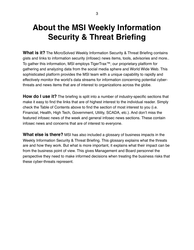# **About the MSI Weekly Information Security & Threat Briefing**

**What is it?** The MicroSolved Weekly Information Security & Threat Briefing contains gists and links to information security (infosec) news items, tools, advisories and more.. To gather this information, MSI employs TigerTrax™; our proprietary platform for gathering and analyzing data from the social media sphere and World Wide Web. This sophisticated platform provides the MSI team with a unique capability to rapidly and effectively monitor the world's data streams for information concerning potential cyberthreats and news items that are of interest to organizations across the globe.

**How do I use it?** The briefing is split into a number of industry-specific sections that make it easy to find the links that are of highest interest to the individual reader. Simply check the Table of Contents above to find the section of most interest to you (i.e. Financial, Health, High Tech, Government, Utility, SCADA, etc.). And don't miss the featured infosec news of the week and general infosec news sections. These contain infosec news and concerns that are of interest to everyone.

**What else is there?** MSI has also included a glossary of business impacts in the Weekly Information Security & Threat Briefing. This glossary explains what the threats are and how they work. But what is more important, it explains what their impact can be from the business point of view. This gives Management and Board personnel the perspective they need to make informed decisions when treating the business risks that these cyber-threats represent.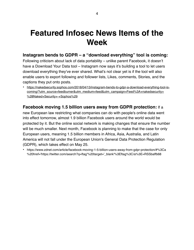#### **Featured Infosec News Items of the Week**

#### **Instagram bends to GDPR – a "download everything" tool is coming:**

Following criticism about lack of data portability – unlike parent Facebook, it doesn't have a Download Your Data tool – Instagram now says it's building a tool to let users download everything they've ever shared. What's not clear yet is if the tool will also enable users to export following and follower lists, Likes, comments, Stories, and the captions they put onto posts.

• [https://nakedsecurity.sophos.com/2018/04/13/instagram-bends-to-gdpr-a-download-everything-tool-is](https://nakedsecurity.sophos.com/2018/04/13/instagram-bends-to-gdpr-a-download-everything-tool-is-coming/?utm_source=feedburner&utm_medium=feed&utm_campaign=Feed%3A+nakedsecurity+%28Naked+Security+-+Sophos%29)coming/?utm\_source=feedburner&utm\_medium=feed&utm\_campaign=Feed%3A+nakedsecurity+ %28Naked+Security+-+Sophos%29

#### **Facebook moving 1.5 billion users away from GDPR protection:** If a

new European law restricting what companies can do with people's online data went into effect tomorrow, almost 1.9 billion Facebook users around the world would be protected by it. But the online social network is making changes that ensure the number will be much smaller. Next month, Facebook is planning to make that the case for only European users, meaning 1.5 billion members in Africa, Asia, Australia, and Latin America will not fall under the European Union's General Data Protection Regulation (GDPR), which takes effect on May 25.

• https://www.zdnet.com/article/facebook-moving-1-5-billion-users-away-from-gdpr-protection/#%3Ca %20href='https://twitter.com/search?q=ftag'%20target='\_blank'%3Eftag%3C/a%3E=RSSbaffb68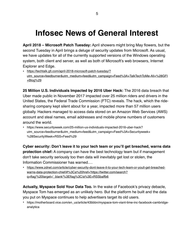## **Infosec News of General Interest**

**April 2018 – Microsoft Patch Tuesday:** April showers might bring May flowers, but the second Tuesday in April brings a deluge of security updates from Microsoft. As usual, we have updates for all of the currently supported versions of the Windows operating system, both client and server, as well as both of Microsoft's web browsers, Internet Explorer and Edge.

• https://techtalk.gfi.com/april-2018-microsoft-patch-tuesday/? [utm\\_source=feedburner&utm\\_medium=feed&utm\\_campaign=Feed%3A+TalkTechToMe-All+%28GFI](https://techtalk.gfi.com/april-2018-microsoft-patch-tuesday/?utm_source=feedburner&utm_medium=feed&utm_campaign=Feed%3A+TalkTechToMe-All+%28GFI+Blog%29) +Blog%29

**25 Million U.S. Individuals Impacted by 2016 Uber Hack:** The 2016 data breach that Uber made public in November 2017 impacted over 25 million riders and drivers in the United States, the Federal Trade Commission (FTC) reveals. The hack, which the ridesharing company kept silent about for a year, impacted more than 57 million users globally. Hackers managed to access data stored on an Amazon Web Services (AWS) account and steal names, email addresses and mobile phone numbers of customers around the world.

• https://www.securityweek.com/25-million-us-individuals-impacted-2016-uber-hack? utm\_source=feedburner&utm\_medium=feed&utm\_campaign=Feed%3A+Securityweek+ %28SecurityWeek+RSS+Feed%29

**Cyber security: Don't leave it to your tech team or you'll get breached, warns data protection chief:** A company can have the best technology team but if management don't take security seriously too then data will inevitably get lost or stolen, the Information Commissioner has warned.…

• [https://www.zdnet.com/article/cyber-security-dont-leave-it-to-your-tech-team-or-youll-get-breached](https://www.zdnet.com/article/cyber-security-dont-leave-it-to-your-tech-team-or-youll-get-breached-warns-data-protection-chief/#%3Ca%20href=)warns-data-protection-chief/#%3Ca%20href='https://twitter.com/search? q=ftag'%20target='\_blank'%3Eftag%3C/a%3E=RSSbaffb6

**Actually, Myspace Sold Your Data Too.** In the wake of Facebook's privacy debacle, Myspace Tom has emerged as an unlikely hero. But the platform he built and the data you put on Myspace continues to help advertisers target its old users.

• https://motherboard.vice.com/en\_us/article/43bbbn/myspace-tom-viant-time-inc-facebook-cambridgeanalytica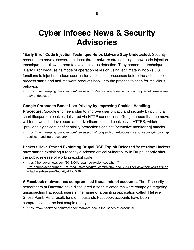# **Cyber Infosec News & Security Advisories**

**"Early Bird" Code Injection Technique Helps Malware Stay Undetected:** Security researchers have discovered at least three malware strains using a new code injection technique that allowed them to avoid antivirus detection. They named the technique "Early Bird" because its mode of operation relies on using legitimate Windows OS functions to inject malicious code inside application processes before the actual app process starts and anti-malware products hook into the process to scan for malicious behavior.

• [https://www.bleepingcomputer.com/news/security/early-bird-code-injection-technique-helps-malware](https://www.bleepingcomputer.com/news/security/early-bird-code-injection-technique-helps-malware-stay-undetected/)stay-undetected/

#### **Google Chrome to Boost User Privacy by Improving Cookies Handling**

**Procedure:** Google engineers plan to improve user privacy and security by putting a short lifespan on cookies delivered via HTTP connections. Google hopes that the move will force website developers and advertisers to send cookies via HTTPS, which "provides significant confidentiality protections against [pervasive monitoring] attacks."

• https://www.bleepingcomputer.com/news/security/google-chrome-to-boost-user-privacy-by-improvingcookies-handling-procedure/

**Hackers Have Started Exploiting Drupal RCE Exploit Released Yesterday:** Hackers have started exploiting a recently disclosed critical vulnerability in Drupal shortly after the public release of working exploit code.

• https://thehackernews.com/2018/04/drupal-rce-exploit-code.html? [utm\\_source=feedburner&utm\\_medium=feed&utm\\_campaign=Feed%3A+TheHackersNews+%28The](https://thehackernews.com/2018/04/drupal-rce-exploit-code.html?utm_source=feedburner&utm_medium=feed&utm_campaign=Feed%3A+TheHackersNews+%28The+Hackers+News+-+Security+Blog%29) +Hackers+News+-+Security+Blog%29

**A Facebook malware has compromised thousands of accounts.** The IT security researchers at Radware have discovered a sophisticated malware campaign targeting unsuspecting Facebook users in the name of a painting application called 'Relieve Stress Paint.' As a result, tens of thousands Facebook accounts have been compromised in the last couple of days.

• <https://www.hackread.com/facebook-malware-hacks-thousands-of-accounts/>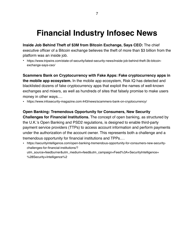# **Financial Industry Infosec News**

**Inside Job Behind Theft of \$3M from Bitcoin Exchange, Says CEO:** The chief executive officer of a Bitcoin exchange believes the theft of more than \$3 billion from the platform was an inside job.

• https://www.tripwire.com/state-of-security/latest-security-news/inside-job-behind-theft-3b-bitcoinexchange-says-ceo/

**Scammers Bank on Cryptocurrency with Fake Apps: Fake cryptocurrency apps in the mobile app ecosystem.** In the mobile app ecosystem, Risk IQ has detected and blacklisted dozens of fake cryptocurrency apps that exploit the names of well-known exchanges and mixers, as well as hundreds of sites that falsely promise to make users money in other ways.…

• https://www.infosecurity-magazine.com:443/news/scammers-bank-on-cryptocurrency/

#### **Open Banking: Tremendous Opportunity for Consumers, New Security**

**Challenges for Financial Institutions.** The concept of open banking, as structured by the U.K.'s [Open Banking and PSD2 regulations](https://securityintelligence.com/open-banking-and-psd2-disruption-confusion/), is designed to enable third-party payment service providers (TTPs) to access account information and perform payments under the authorization of the account owner. This represents both a challenge and a tremendous opportunity for financial institutions and TPPs.…

• https://securityintelligence.com/open-banking-tremendous-opportunity-for-consumers-new-securitychallenges-for-financial-institutions/? utm\_source=feedburner&utm\_medium=feed&utm\_campaign=Feed%3A+SecurityIntelligence+ %28Security+Intelligence%2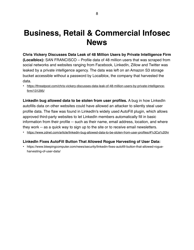#### **Business, Retail & Commercial Infosec News**

**Chris Vickery Discusses Data Leak of 48 Million Users by Private Intelligence Firm (Localblox):** SAN FRANCISCO – Profile data of 48 million users that was scraped from social networks and websites ranging from Facebook, LinkedIn, Zillow and Twitter was leaked by a private intelligence agency. The data was left on an Amazon S3 storage bucket accessible without a password by Localblox, the company that harvested the data.

• [https://threatpost.com/chris-vickery-discusses-data-leak-of-48-million-users-by-private-intelligence](https://threatpost.com/chris-vickery-discusses-data-leak-of-48-million-users-by-private-intelligence-firm/131295/)firm/131295/

**LinkedIn bug allowed data to be stolen from user profiles.** A bug in how LinkedIn autofills data on other websites could have allowed an attacker to silently steal user profile data. The flaw was found in LinkedIn's widely used AutoFill plugin, which allows approved third-party websites to let LinkedIn members automatically fill in basic information from their profile -- such as their name, email address, location, and where they work -- as a quick way to sign up to the site or to receive email newsletters.

• <https://www.zdnet.com/article/linkedin-bug-allowed-data-to-be-stolen-from-user-profiles/#%3Ca%20hr>

#### **LinkedIn Fixes AutoFill Button That Allowed Rogue Harvesting of User Data:**

• https://www.bleepingcomputer.com/news/security/linkedin-fixes-autofill-button-that-allowed-rogueharvesting-of-user-data/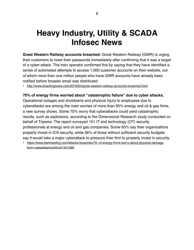# **Heavy Industry, Utility & SCADA Infosec News**

**Great Western Railway accounts breached:** Great Western Railway (GWR) is urging their customers to reset their passwords immediately after confirming that it was a target of a cyber-attack. The train operator confirmed this by saying that they have identified a series of automated attempts to access 1,000 customer accounts on their website, out of which more than one million people who have GWR accounts have already been notified before broader email was distributed

• <http://www.ehackingnews.com/2018/04/great-western-railway-accounts-breached.html>

#### **70% of energy firms worried about "catastrophic failure" due to cyber attacks.**

Operational outages and shutdowns and physical injury to employees due to cyberattacks are among the main worries of more than 95% energy and oil & gas firms, a new survey shows. Some 70% worry that cyberattacks could yield catastrophic results, such as explosions, according to the Dimensional Research study conducted on behalf of Tripwire. The report surveyed 151 IT and technology (OT) security professionals at energy and oil and gas companies. Some 65% say their organizations properly invest in ICS security, while 56% of those without sufficient security budgets say it would take a major cyberattack to pressure thier firm to properly invest in security.

• [https://www.darkreading.com/attacks-breaches/70--of-energy-firms-worry-about-physical-damage](https://www.darkreading.com/attacks-breaches/70--of-energy-firms-worry-about-physical-damage-from-cyberattacks/d/d-id/1331589)from-cyberattacks/d/d-id/1331589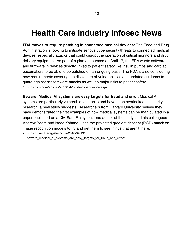### **Health Care Industry Infosec News**

**FDA moves to require patching in connected medical devices:** The Food and Drug Administration is looking to mitigate serious cybersecurity threats to connected medical devices, especially attacks that could disrupt the operation of critical monitors and drug delivery equipment. As part of a plan announced on April 17, the FDA wants software and firmware in devices directly linked to patient safety like insulin pumps and cardiac pacemakers to be able to be patched on an ongoing basis. The FDA is also considering new requirements covering the disclosure of vulnerabilities and updated guidance to guard against ransomware attacks as well as major risks to patient safety.

• https://fcw.com/articles/2018/04/19/fda-cyber-device.aspx

**Beware! Medical AI systems are easy targets for fraud and error.** Medical AI systems are particularly vulnerable to attacks and have been overlooked in security research, a new study suggests. Researchers from Harvard University believe they have demonstrated the first examples of how medical systems can be manipulated in a paper published on arXiv. Sam Finlayson, lead author of the study, and his colleagues Andrew Beam and Isaac Kohane, used the projected gradient descent (PGD) attack on image recognition models to try and get them to see things that aren't there.

• https://www.theregister.co.uk/2018/04/19/ [beware\\_medical\\_ai\\_systems\\_are\\_easy\\_targets\\_for\\_fraud\\_and\\_error/](https://www.theregister.co.uk/2018/04/19/beware_medical_ai_systems_are_easy_targets_for_fraud_and_error/)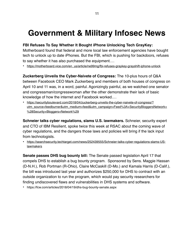### **Government & Military Infosec News**

#### **FBI Refuses To Say Whether It Bought iPhone Unlocking Tech GrayKey:**

Motherboard found that federal and more local law enforcement agencies have bought tech to unlock up to date iPhones. But the FBI, which is pushing for backdoors, refuses to say whether it has also purchased the equipment.…

• [https://motherboard.vice.com/en\\_us/article/ne99mg/fbi-refuses-graykey-grayshift-iphone-unlock](https://motherboard.vice.com/en_us/article/ne99mg/fbi-refuses-graykey-grayshift-iphone-unlock)

**Zuckerberg Unveils the Cyber-Naivete of Congress:** The 10-plus hours of Q&A between Facebook CEO Mark Zuckerberg and members of both houses of congress on April 10 and 11 was, in a word, painful. Agonizingly painful, as we watched one senator and congressman/congresswoman after the other demonstrate their lack of basic knowledge of how the internet and Facebook worked.…

• https://securityboulevard.com/2018/04/zuckerberg-unveils-the-cyber-naivete-of-congress/? [utm\\_source=feedburner&utm\\_medium=feed&utm\\_campaign=Feed%3A+SecurityBloggersNetwork+](https://securityboulevard.com/2018/04/zuckerberg-unveils-the-cyber-naivete-of-congress/?utm_source=feedburner&utm_medium=feed&utm_campaign=Feed%3A+SecurityBloggersNetwork+%28Security+Bloggers+Network%29) %28Security+Bloggers+Network%29

**Schneier talks cyber regulations, slams U.S. lawmakers.** Schneier, security expert and CTO of IBM Resilient, spoke twice this week at RSAC about the coming wave of cyber regulations, and the dangers those laws and policies will bring if the lack input from technologists.

• [https://searchsecurity.techtarget.com/news/252439555/Schneier-talks-cyber-regulations-slams-US](https://searchsecurity.techtarget.com/news/252439555/Schneier-talks-cyber-regulations-slams-US-lawmakers)lawmakers

**Senate passes DHS bug bounty bill:** The Senate passed legislation April 17 that compels DHS to establish a bug bounty program. Sponsored by Sens. Maggie Hassan (D-N.H.), Rob Portman (R-Ohio), Claire McCaskill (D-Mo.) and Kamala Harris (D-Calif.), the bill was introduced last year and authorizes \$250,000 for DHS to contract with an outside organization to run the program, which would pay security researchers for finding undiscovered flaws and vulnerabilities in DHS systems and software.

• https://fcw.com/articles/2018/04/19/dhs-bug-bounty-senate.aspx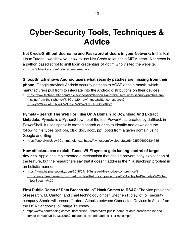# **Cyber-Security Tools, Techniques & Advice**

**Net Creds-Sniff out Username and Password of Users in your Network:** In this Kali Linux Tutorial, we show you how to use Net Creds to launch a MITM attack.Net creds is a python based script to sniff login credentials of victim who visited the website.

• <https://gbhackers.com/net-creds-mitm-attack/>

**SnoopSnitch shows Android users what security patches are missing from their phone:** Google provides Android security patches to AOSP once a month, which manufacturers pull from to integrate into the Android distributions on their devices.

• [https://www.techrepublic.com/article/snoopsnitch-shows-android-users-what-security-patches-are](https://www.techrepublic.com/article/snoopsnitch-shows-android-users-what-security-patches-are-missing-from-their-phone/#%3Ca%20href=)missing-from-their-phone/#%3Ca%20href='https://twitter.com/search? q=ftag'%20target='\_blank'%3Eftag%3C/a%3E=RSS56d97e7

#### **Pymeta - Search The Web For Files On A Domain To Download And Extract**

**Metadata.** Pymeta is a Python3 rewrite of the tool PowerMeta, created by dafthack in PowerShell. It uses specially crafted search queries to identify and download the following file types (pdf, xls, xlsx, doc, docx, ppt, pptx) from a given domain using Google and Bing

• https://goo.gl/rmUvLv #CommandLine... <https://twitter.com/i/web/status/984935996092534785>

**How attackers can exploit iTunes Wi-Fi sync to gain lasting control of target devices.** Apple has implemented a mechanism that should prevent easy exploitation of the feature, but the researchers say that it doesn't address the "Trustjacking" problem in an holistic manner.

• https://www.helpnetsecurity.com/2018/04/19/itunes-wi-fi-sync-ios-compromise/? [utm\\_source=feedburner&utm\\_medium=feed&utm\\_campaign=Feed%3A+HelpNetSecurity+%28Help](https://www.helpnetsecurity.com/2018/04/19/itunes-wi-fi-sync-ios-compromise/?utm_source=feedburner&utm_medium=feed&utm_campaign=Feed%3A+HelpNetSecurity+%28Help+Net+Security%29) +Net+Security%29

**First Public Demo of Data Breach via IoT Hack Comes to RSAC:** The vice president of research, M. Carlton, and chief technology officer, Stephen Ridley, of IoT security company Senrio will present "Lateral Attacks between Connected Devices in Action" on the RSA Sandbox's IoT stage Thursday.

• https://www.darkreading.com/vulnerabilities---threats/first-public-demo-of-data-breach-via-iot-hackcomes-to-rsac/d/d-id/1331588? mc=rss\_x\_drr\_edt\_aud\_dr\_x\_x-rss-simple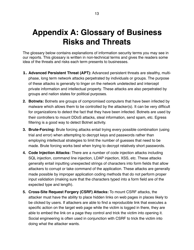# **Appendix A: Glossary of Business Risks and Threats**

The glossary below contains explanations of information security terms you may see in our reports. This glossary is written in non-technical terms and gives the readers some idea of the threats and risks each term presents to businesses.

- **1. Advanced Persistent Threat (APT):** Advanced persistent threats are stealthy, multiphase, long term network attacks perpetrated by individuals or groups. The purpose of these attacks is generally to linger on the network undetected and intercept private information and intellectual property. These attacks are also perpetrated by groups and nation states for political purposes.
- **2. Botnets:** Botnets are groups of compromised computers that have been infected by malware which allows them to be controlled by the attacker(s). It can be very difficult for organizations to detect the fact that they have been infected. Botnets are used by their controllers to mount DDoS attacks, steal information, send spam, etc. Egress filtering is a good way to detect Botnet activity.
- **3. Brute-Forcing:** Brute forcing attacks entail trying every possible combination (using trial and error) when attempting to decrypt keys and passwords rather than employing intellectual strategies to limit the number of guesses that need to be made. Brute forcing works best when trying to decrypt relatively short passwords.
- **4. Code Injection Attacks:** There are a number of code injection attacks including SQL injection, command line injection, LDAP injection, XSS, etc. These attacks generally entail inputting unexpected strings of characters into form fields that allow attackers to corrupt or take command of the application. These attacks are generally made possible by improper application coding methods that do not perform proper input validation (making sure that the characters typed into a form field are of the expected type and length).
- **5. Cross-Site Request Forgery (CSRF) Attacks:** To mount CSRF attacks, the attacker must have the ability to place hidden links on web pages in places likely to be clicked by users. If attackers are able to find a reproducible link that executes a specific action on the target web page while the victim is logged in there, they are able to embed the link on a page they control and trick the victim into opening it. Social engineering is often used in conjunction with CSRF to trick the victim into doing what the attacker wants.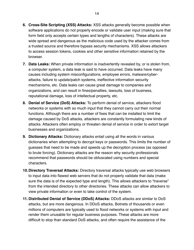- **6. Cross-Site Scripting (XSS) Attacks:** XSS attacks generally become possible when software applications do not properly encode or validate user input (making sure that form field only accepts certain types and lengths of characters). These attacks are wide spread and dangerous as the malicious code used by the attacker comes from a trusted source and therefore bypass security mechanisms. XSS allows attackers to access session tokens, cookies and other sensitive information retained by the browser.
- **7. Data Leaks:** When private information is inadvertently revealed by, or is stolen from, a computer system, a data leak is said to have occurred. Data leaks have many causes including system misconfigurations, employee errors, malware/cyberattacks, failure to update/patch systems, ineffective information security mechanisms, etc. Data leaks can cause great damage to companies and organizations, and can result in fines/penalties, lawsuits, loss of business, reputational damage, loss of intellectual property, etc.
- **8. Denial of Service (DoS) Attacks:** To perform denial of service, attackers flood networks or systems with so much input that they cannot carry out their normal functions. Although there are a number of fixes that can be installed to limit the damage caused by DoS attacks, attackers are constantly formulating new kinds of attacks. Attackers often employ or threaten denial of service in order to extort target businesses and organizations.
- **9. Dictionary Attacks:** Dictionary attacks entail using all the words in various dictionaries when attempting to decrypt keys or passwords. This limits the number of guesses that need to be made and speeds up the decryption process (as opposed to brute forcing). Dictionary attacks are the reason why security professionals recommend that passwords should be obfuscated using numbers and special characters.
- **10.Directory Traversal Attacks:** Directory traversal attacks typically use web browsers to input data into flawed web servers that do not properly validate that data (make sure the data is of the expected type and length). This allows attackers to "traverse" from the intended directory to other directories. These attacks can allow attackers to view private information or even to take control of the system.
- **11. Distributed Denial of Service (DDoS) Attacks:** DDoS attacks are similar to DoS attacks, but are more dangerous. In DDoS attacks, Botnets of thousands or even millions of computers are typically used to flood networks or systems with input and render them unusable for regular business purposes. These attacks are more difficult to stop than standard DoS attacks, and often require the assistance of the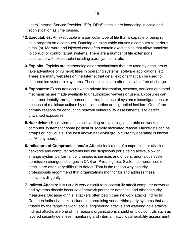users' Internet Service Provider (ISP). DDoS attacks are increasing in scale and sophistication as time passes.

- **12.Executables:** An executable is a particular type of file that is capable of being run as a program on a computer. Running an executable causes a computer to perform a task(s). Malware and injected code often contain executables that allow attackers to corrupt or control target systems. There are a number of file extensions associated with executable including .exe, .jar, .com, etc.
- **13.Exploits:** Exploits are methodologies or mechanisms that are used by attackers to take advantage of vulnerabilities in operating systems, software applications, etc. There are many websites on the Internet that detail exploits that can be used to compromise vulnerable systems. These exploits are often available free of charge.
- **14.Exposures:** Exposures occur when private information, systems, services or control mechanisms are made available to unauthorized viewers or users. Exposures can occur accidentally through personnel error, because of system misconfigurations or because of malicious actions by outside parties or disgruntled insiders. One of the primary reasons for conducting network vulnerability assessments is to detect unwanted exposures.
- **15.Hacktivism:** Hacktivism entails subverting or exploiting vulnerable networks or computer systems for some political or socially motivated reason. Hacktivists can be groups or individuals. The best known hacktivist group currently operating is known as "Anonymous".
- **16.Indicators of Compromise and/or Attack:** Indicators of compromise or attack on networks and computer systems include suspicious ports being active, slow or strange system performance, changes is services and drivers, anomalous system permission changes, changes in DNS or IP routing, etc. System compromises or attacks are often very difficult to detect. That is the reason why security professionals recommend that organizations monitor for and address these indicators diligently.
- **17.Indirect Attacks:** It is usually very difficult to successfully attack computer networks and systems directly because of network perimeter defenses and other security measures. Because of this, attackers often begin their network attacks indirectly. Common indirect attacks include compromising vendor/third party systems that are trusted by the target network, social engineering attacks and watering hole attacks. Indirect attacks are one of the reasons organizations should employ controls such as layered security defenses, monitoring and internal network vulnerability assessment.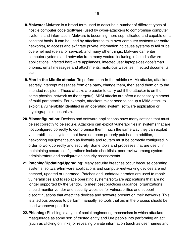- **18.Malware:** Malware is a broad term used to describe a number of different types of hostile computer code (software) used by cyber-attackers to compromise computer systems and information. Malware is becoming more sophisticated and capable on a constant basis. It can be used by attackers to take over computer systems (or entire networks), to access and exfiltrate private information, to cause systems to fail or be overwhelmed (denial of service), and many other things. Malware can enter computer systems and networks from many vectors including infected software applications, infected hardware appliances, infected user laptops/desktops/smart phones, email messages and attachments, malicious websites, infected documents, etc.
- **19.Man-in-the-Middle attacks**: To perform man-in-the-middle (MitM) attacks, attackers secretly intercept messages from one party, change them, then send them on to the intended recipient. These attacks are easier to carry out if the attacker is on the same physical network as the target(s). MitM attacks are often a necessary element of multi-part attacks. For example, attackers might need to set up a MitM attack to exploit a vulnerability identified in an operating system, software application or cryptographic mechanism.
- **20.Misconfiguration**: Devices and software applications have many settings that must be set correctly to be secure. Attackers can exploit vulnerabilities in systems that are not configured correctly to compromise them, much the same way they can exploit vulnerabilities in systems that have not been properly patched. In addition, networking equipment such as firewalls and routers must be correctly configured in order to work correctly and securely. Some tools and processes that are useful in maintaining secure configurations include checklists, peer review among system administrators and configuration security assessments.
- **21.Patching/Updating/Upgrading:** Many security breaches occur because operating systems, software/firmware applications and computer/networking devices are not patched, updated or upgraded. Patches and updates/upgrades are used to repair vulnerabilities and to replace operating systems/software applications that are no longer supported by the vendor. To meet best practices guidance, organizations should monitor vendor and security websites for vulnerabilities and support discontinuations that affect the devices and software present on their networks. This is a tedious process to perform manually, so tools that aid in the process should be used whenever possible.
- **22.Phishing:** Phishing is a type of social engineering mechanism in which attackers masquerade as some sort of trusted entity and lure people into performing an act (such as clicking on links) or revealing private information (such as user names and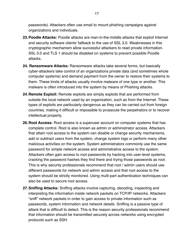passwords). Attackers often use email to mount phishing campaigns against organizations and individuals.

- **23.Poodle Attacks:** Poodle attacks are man-in-the-middle attacks that exploit Internet and security software clients' fallback to the use of SSL 3.0. Weaknesses in this cryptographic mechanism allow successful attackers to read private information. SSL 3.0 and TLS 1 should be disabled on systems to prevent possible Poodle attacks.
- **24. Ransomware Attacks:** Ransomware attacks take several forms, but basically cyber-attackers take control of an organizations private data (and sometimes whole computer systems) and demand payment from the owner to restore their systems to them. These kinds of attacks usually involve malware of one type or another. This malware is often introduced into the system by means of Phishing attacks.
- **24.Remote Exploit:** Remote exploits are simply exploits that are performed from outside the local network used by an organization, such as from the Internet. These types of exploits are particularly dangerous as they can be carried out from foreign countries, making it difficult or impossible to prosecute the perpetrators or to recover intellectual property.
- **26.Root Access:** Root access is a superuser account on computer systems that has complete control. Root is also known as admin or administrator access. Attackers that attain root access to the system can disable or change security mechanisms, add or subtract users from the system, change system logs or perform many other malicious activities on the system. System administrators commonly use the same password for simple network access and administrative access to the system. Attackers often gain access to root passwords by hacking into user-level systems, cracking the password hashes they find there and trying those passwords as root. This is why security professionals recommend that root / admin users should use different passwords for network and admin access and that root access to the system should be strictly monitored. Using multi-part authentication techniques can also be used to secure root access.
- **27.Sniffing Attacks:** Sniffing attacks involve capturing, decoding, inspecting and interpreting the information inside network packets on TCP/IP networks. Attackers "sniff" network packets in order to gain access to private information such as passwords, system information and network details. Sniffing is a passive type of attack that is difficult to detect. This is the reason security professionals recommend that information should be transmitted securely across networks using encrypted protocols such as SSH.